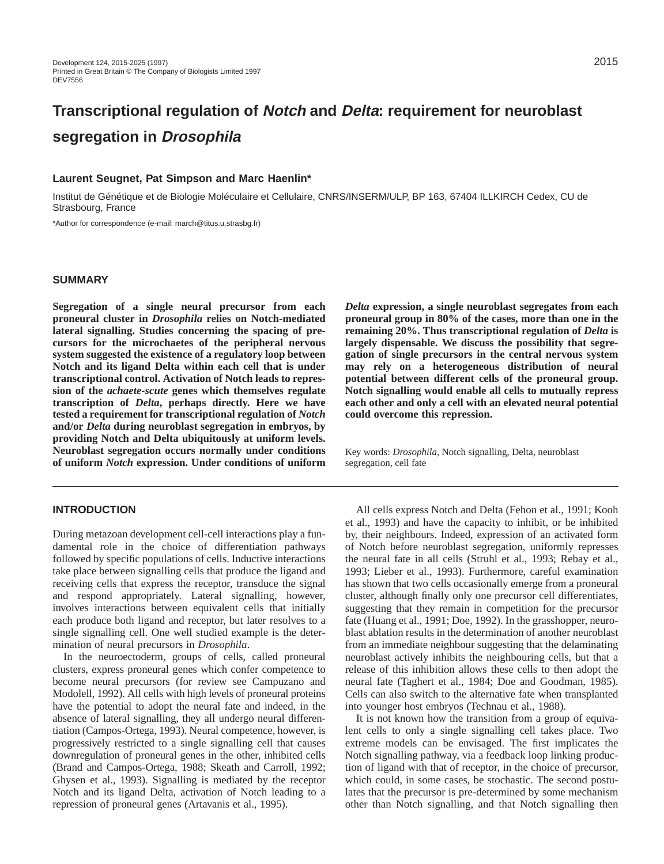# **Transcriptional regulation of Notch and Delta: requirement for neuroblast segregation in Drosophila**

#### **Laurent Seugnet, Pat Simpson and Marc Haenlin\***

Institut de Génétique et de Biologie Moléculaire et Cellulaire, CNRS/INSERM/ULP, BP 163, 67404 ILLKIRCH Cedex, CU de Strasbourg, France

\*Author for correspondence (e-mail: march@titus.u.strasbg.fr)

## **SUMMARY**

**Segregation of a single neural precursor from each proneural cluster in** *Drosophila* **relies on Notch-mediated lateral signalling. Studies concerning the spacing of precursors for the microchaetes of the peripheral nervous system suggested the existence of a regulatory loop between Notch and its ligand Delta within each cell that is under transcriptional control. Activation of Notch leads to repression of the** *achaete-scute* **genes which themselves regulate transcription of** *Delta***, perhaps directly. Here we have tested a requirement for transcriptional regulation of** *Notch* **and/or** *Delta* **during neuroblast segregation in embryos, by providing Notch and Delta ubiquitously at uniform levels. Neuroblast segregation occurs normally under conditions of uniform** *Notch* **expression. Under conditions of uniform**

# **INTRODUCTION**

During metazoan development cell-cell interactions play a fundamental role in the choice of differentiation pathways followed by specific populations of cells. Inductive interactions take place between signalling cells that produce the ligand and receiving cells that express the receptor, transduce the signal and respond appropriately. Lateral signalling, however, involves interactions between equivalent cells that initially each produce both ligand and receptor, but later resolves to a single signalling cell. One well studied example is the determination of neural precursors in *Drosophila*.

In the neuroectoderm, groups of cells, called proneural clusters, express proneural genes which confer competence to become neural precursors (for review see Campuzano and Modolell, 1992). All cells with high levels of proneural proteins have the potential to adopt the neural fate and indeed, in the absence of lateral signalling, they all undergo neural differentiation (Campos-Ortega, 1993). Neural competence, however, is progressively restricted to a single signalling cell that causes downregulation of proneural genes in the other, inhibited cells (Brand and Campos-Ortega, 1988; Skeath and Carroll, 1992; Ghysen et al., 1993). Signalling is mediated by the receptor Notch and its ligand Delta, activation of Notch leading to a repression of proneural genes (Artavanis et al., 1995).

*Delta* **expression, a single neuroblast segregates from each proneural group in 80% of the cases, more than one in the remaining 20%. Thus transcriptional regulation of** *Delta* **is largely dispensable. We discuss the possibility that segregation of single precursors in the central nervous system may rely on a heterogeneous distribution of neural potential between different cells of the proneural group. Notch signalling would enable all cells to mutually repress each other and only a cell with an elevated neural potential could overcome this repression.** 

Key words: *Drosophila*, Notch signalling, Delta, neuroblast segregation, cell fate

All cells express Notch and Delta (Fehon et al., 1991; Kooh et al., 1993) and have the capacity to inhibit, or be inhibited by, their neighbours. Indeed, expression of an activated form of Notch before neuroblast segregation, uniformly represses the neural fate in all cells (Struhl et al., 1993; Rebay et al., 1993; Lieber et al., 1993). Furthermore, careful examination has shown that two cells occasionally emerge from a proneural cluster, although finally only one precursor cell differentiates, suggesting that they remain in competition for the precursor fate (Huang et al., 1991; Doe, 1992). In the grasshopper, neuroblast ablation results in the determination of another neuroblast from an immediate neighbour suggesting that the delaminating neuroblast actively inhibits the neighbouring cells, but that a release of this inhibition allows these cells to then adopt the neural fate (Taghert et al., 1984; Doe and Goodman, 1985). Cells can also switch to the alternative fate when transplanted into younger host embryos (Technau et al., 1988).

It is not known how the transition from a group of equivalent cells to only a single signalling cell takes place. Two extreme models can be envisaged. The first implicates the Notch signalling pathway, via a feedback loop linking production of ligand with that of receptor, in the choice of precursor, which could, in some cases, be stochastic. The second postulates that the precursor is pre-determined by some mechanism other than Notch signalling, and that Notch signalling then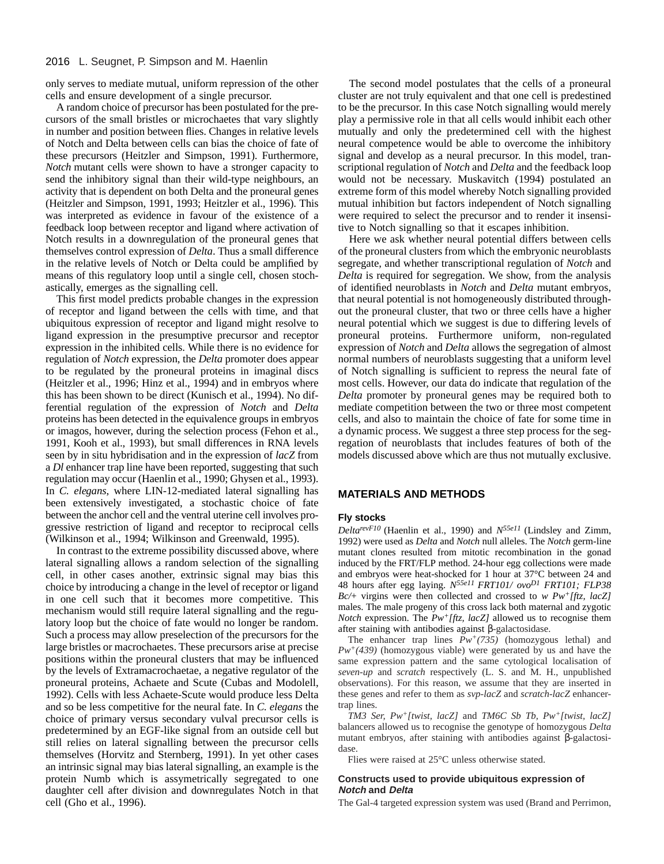#### 2016 L. Seugnet, P. Simpson and M. Haenlin

only serves to mediate mutual, uniform repression of the other cells and ensure development of a single precursor.

A random choice of precursor has been postulated for the precursors of the small bristles or microchaetes that vary slightly in number and position between flies. Changes in relative levels of Notch and Delta between cells can bias the choice of fate of these precursors (Heitzler and Simpson, 1991). Furthermore, *Notch* mutant cells were shown to have a stronger capacity to send the inhibitory signal than their wild-type neighbours, an activity that is dependent on both Delta and the proneural genes (Heitzler and Simpson, 1991, 1993; Heitzler et al., 1996). This was interpreted as evidence in favour of the existence of a feedback loop between receptor and ligand where activation of Notch results in a downregulation of the proneural genes that themselves control expression of *Delta*. Thus a small difference in the relative levels of Notch or Delta could be amplified by means of this regulatory loop until a single cell, chosen stochastically, emerges as the signalling cell.

This first model predicts probable changes in the expression of receptor and ligand between the cells with time, and that ubiquitous expression of receptor and ligand might resolve to ligand expression in the presumptive precursor and receptor expression in the inhibited cells. While there is no evidence for regulation of *Notch* expression, the *Delta* promoter does appear to be regulated by the proneural proteins in imaginal discs (Heitzler et al., 1996; Hinz et al., 1994) and in embryos where this has been shown to be direct (Kunisch et al., 1994). No differential regulation of the expression of *Notch* and *Delta* proteins has been detected in the equivalence groups in embryos or imagos, however, during the selection process (Fehon et al., 1991, Kooh et al., 1993), but small differences in RNA levels seen by in situ hybridisation and in the expression of *lacZ* from a *Dl* enhancer trap line have been reported, suggesting that such regulation may occur (Haenlin et al., 1990; Ghysen et al., 1993). In *C. elegans*, where LIN-12-mediated lateral signalling has been extensively investigated, a stochastic choice of fate between the anchor cell and the ventral uterine cell involves progressive restriction of ligand and receptor to reciprocal cells (Wilkinson et al., 1994; Wilkinson and Greenwald, 1995).

In contrast to the extreme possibility discussed above, where lateral signalling allows a random selection of the signalling cell, in other cases another, extrinsic signal may bias this choice by introducing a change in the level of receptor or ligand in one cell such that it becomes more competitive. This mechanism would still require lateral signalling and the regulatory loop but the choice of fate would no longer be random. Such a process may allow preselection of the precursors for the large bristles or macrochaetes. These precursors arise at precise positions within the proneural clusters that may be influenced by the levels of Extramacrochaetae, a negative regulator of the proneural proteins, Achaete and Scute (Cubas and Modolell, 1992). Cells with less Achaete-Scute would produce less Delta and so be less competitive for the neural fate. In *C. elegans* the choice of primary versus secondary vulval precursor cells is predetermined by an EGF-like signal from an outside cell but still relies on lateral signalling between the precursor cells themselves (Horvitz and Sternberg, 1991). In yet other cases an intrinsic signal may bias lateral signalling, an example is the protein Numb which is assymetrically segregated to one daughter cell after division and downregulates Notch in that cell (Gho et al., 1996).

The second model postulates that the cells of a proneural cluster are not truly equivalent and that one cell is predestined to be the precursor. In this case Notch signalling would merely play a permissive role in that all cells would inhibit each other mutually and only the predetermined cell with the highest neural competence would be able to overcome the inhibitory signal and develop as a neural precursor. In this model, transcriptional regulation of *Notch* and *Delta* and the feedback loop would not be necessary. Muskavitch (1994) postulated an extreme form of this model whereby Notch signalling provided mutual inhibition but factors independent of Notch signalling were required to select the precursor and to render it insensitive to Notch signalling so that it escapes inhibition.

Here we ask whether neural potential differs between cells of the proneural clusters from which the embryonic neuroblasts segregate, and whether transcriptional regulation of *Notch* and *Delta* is required for segregation. We show, from the analysis of identified neuroblasts in *Notch* and *Delta* mutant embryos, that neural potential is not homogeneously distributed throughout the proneural cluster, that two or three cells have a higher neural potential which we suggest is due to differing levels of proneural proteins. Furthermore uniform, non-regulated expression of *Notch* and *Delta* allows the segregation of almost normal numbers of neuroblasts suggesting that a uniform level of Notch signalling is sufficient to repress the neural fate of most cells. However, our data do indicate that regulation of the *Delta* promoter by proneural genes may be required both to mediate competition between the two or three most competent cells, and also to maintain the choice of fate for some time in a dynamic process. We suggest a three step process for the segregation of neuroblasts that includes features of both of the models discussed above which are thus not mutually exclusive.

## **MATERIALS AND METHODS**

#### **Fly stocks**

*DeltarevF10* (Haenlin et al., 1990) and *N55e11* (Lindsley and Zimm, 1992) were used as *Delta* and *Notch* null alleles. The *Notch* germ-line mutant clones resulted from mitotic recombination in the gonad induced by the FRT/FLP method. 24-hour egg collections were made and embryos were heat-shocked for 1 hour at 37°C between 24 and 48 hours after egg laying. *N55e11 FRT101/ ovoD1 FRT101; FLP38 Bc/*+ virgins were then collected and crossed to *w Pw+[ftz, lacZ]* males. The male progeny of this cross lack both maternal and zygotic *Notch* expression. The *Pw+[ftz, lacZ]* allowed us to recognise them after staining with antibodies against β-galactosidase.

The enhancer trap lines  $\overline{P}w^{+}(735)$  (homozygous lethal) and *Pw+(439)* (homozygous viable) were generated by us and have the same expression pattern and the same cytological localisation of *seven-up* and *scratch* respectively (L. S. and M. H., unpublished observations). For this reason, we assume that they are inserted in these genes and refer to them as *svp-lacZ* and *scratch-lacZ* enhancertrap lines.

*TM3 Ser, Pw+[twist, lacZ]* and *TM6C Sb Tb, Pw+[twist, lacZ]* balancers allowed us to recognise the genotype of homozygous *Delta* mutant embryos, after staining with antibodies against β-galactosidase.

Flies were raised at 25°C unless otherwise stated.

#### **Constructs used to provide ubiquitous expression of Notch and Delta**

The Gal-4 targeted expression system was used (Brand and Perrimon,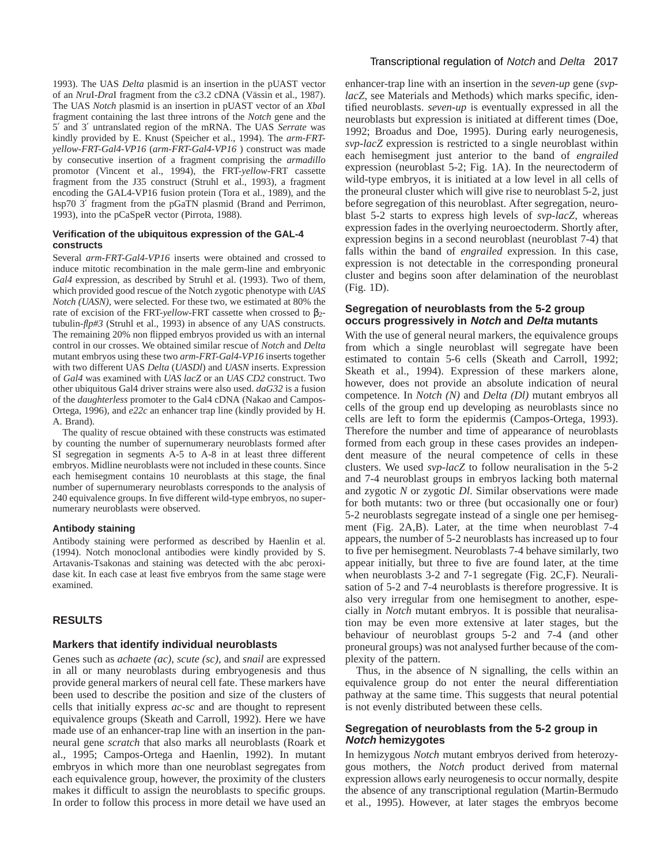1993). The UAS *Delta* plasmid is an insertion in the pUAST vector of an *Nru*I-*Dra*I fragment from the c3.2 cDNA (Vässin et al., 1987). The UAS *Notch* plasmid is an insertion in pUAST vector of an *Xba*I fragment containing the last three introns of the *Notch* gene and the 5′ and 3′ untranslated region of the mRNA. The UAS *Serrate* was kindly provided by E. Knust (Speicher et al., 1994). The *arm-FRTyellow-FRT-Gal4-VP16* (*arm-FRT-Gal4-VP16* ) construct was made by consecutive insertion of a fragment comprising the *armadillo* promotor (Vincent et al., 1994), the FRT-*yellow*-FRT cassette fragment from the J35 construct (Struhl et al., 1993), a fragment encoding the GAL4-VP16 fusion protein (Tora et al., 1989), and the hsp70 3' fragment from the pGaTN plasmid (Brand and Perrimon, 1993), into the pCaSpeR vector (Pirrota, 1988).

## **Verification of the ubiquitous expression of the GAL-4 constructs**

Several *arm-FRT-Gal4-VP16* inserts were obtained and crossed to induce mitotic recombination in the male germ-line and embryonic *Gal4* expression, as described by Struhl et al. (1993). Two of them, which provided good rescue of the Notch zygotic phenotype with *UAS Notch (UASN),* were selected. For these two, we estimated at 80% the rate of excision of the FRT-*yellow*-FRT cassette when crossed to β2 tubulin-*flp#3* (Struhl et al., 1993) in absence of any UAS constructs. The remaining 20% non flipped embryos provided us with an internal control in our crosses. We obtained similar rescue of *Notch* and *Delta* mutant embryos using these two *arm-FRT-Gal4-VP16* inserts together with two different UAS *Delta* (*UASDl*) and *UASN* inserts. Expression of *Gal4* was examined with *UAS lacZ* or an *UAS CD2* construct. Two other ubiquitous Gal4 driver strains were also used. *daG32* is a fusion of the *daughterless* promoter to the Gal4 cDNA (Nakao and Campos-Ortega, 1996), and *e22c* an enhancer trap line (kindly provided by H. A. Brand).

The quality of rescue obtained with these constructs was estimated by counting the number of supernumerary neuroblasts formed after SI segregation in segments A-5 to A-8 in at least three different embryos. Midline neuroblasts were not included in these counts. Since each hemisegment contains 10 neuroblasts at this stage, the final number of supernumerary neuroblasts corresponds to the analysis of 240 equivalence groups. In five different wild-type embryos, no supernumerary neuroblasts were observed.

## **Antibody staining**

Antibody staining were performed as described by Haenlin et al. (1994). Notch monoclonal antibodies were kindly provided by S. Artavanis-Tsakonas and staining was detected with the abc peroxidase kit. In each case at least five embryos from the same stage were examined.

# **RESULTS**

## **Markers that identify individual neuroblasts**

Genes such as *achaete (ac), scute (sc),* and *snail* are expressed in all or many neuroblasts during embryogenesis and thus provide general markers of neural cell fate. These markers have been used to describe the position and size of the clusters of cells that initially express *ac-sc* and are thought to represent equivalence groups (Skeath and Carroll, 1992). Here we have made use of an enhancer-trap line with an insertion in the panneural gene *scratch* that also marks all neuroblasts (Roark et al., 1995; Campos-Ortega and Haenlin, 1992). In mutant embryos in which more than one neuroblast segregates from each equivalence group, however, the proximity of the clusters makes it difficult to assign the neuroblasts to specific groups. In order to follow this process in more detail we have used an

## Transcriptional regulation of Notch and Delta 2017

enhancer-trap line with an insertion in the *seven-up* gene (*svplacZ*, see Materials and Methods) which marks specific, identified neuroblasts. *seven-up* is eventually expressed in all the neuroblasts but expression is initiated at different times (Doe, 1992; Broadus and Doe, 1995). During early neurogenesis, *svp-lacZ* expression is restricted to a single neuroblast within each hemisegment just anterior to the band of *engrailed* expression (neuroblast 5-2; Fig. 1A). In the neurectoderm of wild-type embryos, it is initiated at a low level in all cells of the proneural cluster which will give rise to neuroblast 5-2, just before segregation of this neuroblast. After segregation, neuroblast 5-2 starts to express high levels of *svp-lacZ*, whereas expression fades in the overlying neuroectoderm. Shortly after, expression begins in a second neuroblast (neuroblast 7-4) that falls within the band of *engrailed* expression. In this case, expression is not detectable in the corresponding proneural cluster and begins soon after delamination of the neuroblast (Fig. 1D).

# **Segregation of neuroblasts from the 5-2 group occurs progressively in Notch and Delta mutants**

With the use of general neural markers, the equivalence groups from which a single neuroblast will segregate have been estimated to contain 5-6 cells (Skeath and Carroll, 1992; Skeath et al., 1994). Expression of these markers alone, however, does not provide an absolute indication of neural competence. In *Notch (N)* and *Delta (Dl)* mutant embryos all cells of the group end up developing as neuroblasts since no cells are left to form the epidermis (Campos-Ortega, 1993). Therefore the number and time of appearance of neuroblasts formed from each group in these cases provides an independent measure of the neural competence of cells in these clusters. We used *svp-lacZ* to follow neuralisation in the 5-2 and 7-4 neuroblast groups in embryos lacking both maternal and zygotic *N* or zygotic *Dl*. Similar observations were made for both mutants: two or three (but occasionally one or four) 5-2 neuroblasts segregate instead of a single one per hemisegment (Fig. 2A,B). Later, at the time when neuroblast 7-4 appears, the number of 5-2 neuroblasts has increased up to four to five per hemisegment. Neuroblasts 7-4 behave similarly, two appear initially, but three to five are found later, at the time when neuroblasts 3-2 and 7-1 segregate (Fig. 2C,F). Neuralisation of 5-2 and 7-4 neuroblasts is therefore progressive. It is also very irregular from one hemisegment to another, especially in *Notch* mutant embryos. It is possible that neuralisation may be even more extensive at later stages, but the behaviour of neuroblast groups 5-2 and 7-4 (and other proneural groups) was not analysed further because of the complexity of the pattern.

Thus, in the absence of N signalling, the cells within an equivalence group do not enter the neural differentiation pathway at the same time. This suggests that neural potential is not evenly distributed between these cells.

## **Segregation of neuroblasts from the 5-2 group in Notch hemizygotes**

In hemizygous *Notch* mutant embryos derived from heterozygous mothers, the *Notch* product derived from maternal expression allows early neurogenesis to occur normally, despite the absence of any transcriptional regulation (Martin-Bermudo et al., 1995). However, at later stages the embryos become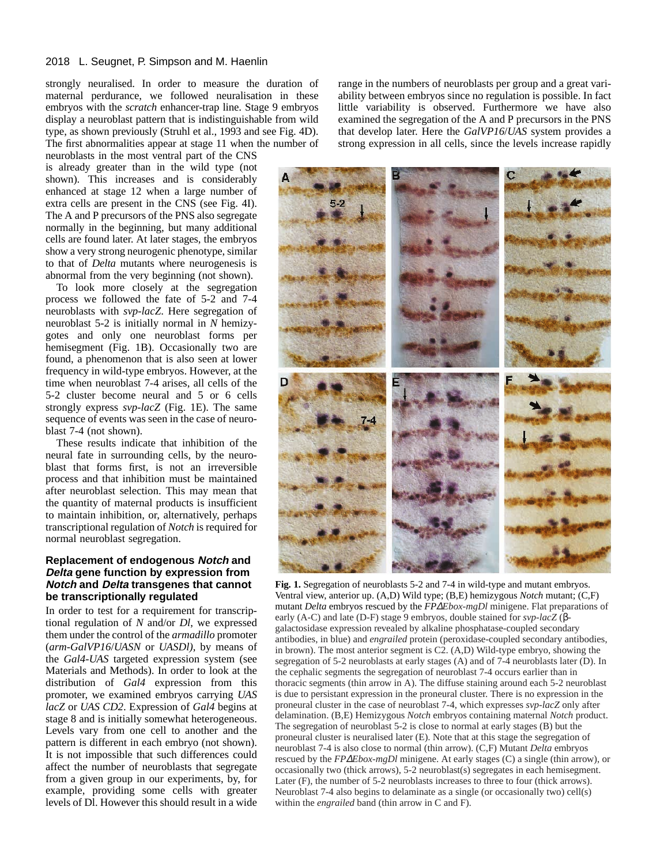#### 2018 L. Seugnet, P. Simpson and M. Haenlin

strongly neuralised. In order to measure the duration of maternal perdurance, we followed neuralisation in these embryos with the *scratch* enhancer-trap line. Stage 9 embryos display a neuroblast pattern that is indistinguishable from wild type, as shown previously (Struhl et al., 1993 and see Fig. 4D). The first abnormalities appear at stage 11 when the number of

neuroblasts in the most ventral part of the CNS is already greater than in the wild type (not shown). This increases and is considerably enhanced at stage 12 when a large number of extra cells are present in the CNS (see Fig. 4I). The A and P precursors of the PNS also segregate normally in the beginning, but many additional cells are found later. At later stages, the embryos show a very strong neurogenic phenotype, similar to that of *Delta* mutants where neurogenesis is abnormal from the very beginning (not shown).

To look more closely at the segregation process we followed the fate of 5-2 and 7-4 neuroblasts with *svp-lacZ*. Here segregation of neuroblast 5-2 is initially normal in *N* hemizygotes and only one neuroblast forms per hemisegment (Fig. 1B). Occasionally two are found, a phenomenon that is also seen at lower frequency in wild-type embryos. However, at the time when neuroblast 7-4 arises, all cells of the 5-2 cluster become neural and 5 or 6 cells strongly express *svp-lacZ* (Fig. 1E). The same sequence of events was seen in the case of neuroblast 7-4 (not shown).

These results indicate that inhibition of the neural fate in surrounding cells, by the neuroblast that forms first, is not an irreversible process and that inhibition must be maintained after neuroblast selection. This may mean that the quantity of maternal products is insufficient to maintain inhibition, or, alternatively, perhaps transcriptional regulation of *Notch* is required for normal neuroblast segregation.

# **Replacement of endogenous Notch and Delta gene function by expression from Notch and Delta transgenes that cannot be transcriptionally regulated**

In order to test for a requirement for transcriptional regulation of *N* and/or *Dl*, we expressed them under the control of the *armadillo* promoter (*arm-GalVP16*/*UASN* or *UASDl)*, by means of the *Gal4-UAS* targeted expression system (see Materials and Methods). In order to look at the distribution of *Gal4* expression from this promoter, we examined embryos carrying *UAS lacZ* or *UAS CD2*. Expression of *Gal4* begins at stage 8 and is initially somewhat heterogeneous. Levels vary from one cell to another and the pattern is different in each embryo (not shown). It is not impossible that such differences could affect the number of neuroblasts that segregate from a given group in our experiments, by, for example, providing some cells with greater levels of Dl. However this should result in a wide range in the numbers of neuroblasts per group and a great variability between embryos since no regulation is possible. In fact little variability is observed. Furthermore we have also examined the segregation of the A and P precursors in the PNS that develop later. Here the *GalVP16*/*UAS* system provides a strong expression in all cells, since the levels increase rapidly



**Fig. 1.** Segregation of neuroblasts 5-2 and 7-4 in wild-type and mutant embryos. Ventral view, anterior up. (A,D) Wild type; (B,E) hemizygous *Notch* mutant; (C,F) mutant *Delta* embryos rescued by the *FP*∆*Ebox-mgDl* minigene. Flat preparations of early (A-C) and late (D-F) stage 9 embryos, double stained for *svp-lacZ* (βgalactosidase expression revealed by alkaline phosphatase-coupled secondary antibodies, in blue) and *engrailed* protein (peroxidase-coupled secondary antibodies, in brown). The most anterior segment is C2. (A,D) Wild-type embryo, showing the segregation of 5-2 neuroblasts at early stages (A) and of 7-4 neuroblasts later (D). In the cephalic segments the segregation of neuroblast 7-4 occurs earlier than in thoracic segments (thin arrow in A). The diffuse staining around each 5-2 neuroblast is due to persistant expression in the proneural cluster. There is no expression in the proneural cluster in the case of neuroblast 7-4, which expresses *svp-lacZ* only after delamination. (B,E) Hemizygous *Notch* embryos containing maternal *Notch* product. The segregation of neuroblast 5-2 is close to normal at early stages (B) but the proneural cluster is neuralised later (E). Note that at this stage the segregation of neuroblast 7-4 is also close to normal (thin arrow). (C,F) Mutant *Delta* embryos rescued by the *FP*∆*Ebox-mgDl* minigene. At early stages (C) a single (thin arrow), or occasionally two (thick arrows), 5-2 neuroblast(s) segregates in each hemisegment. Later (F), the number of 5-2 neuroblasts increases to three to four (thick arrows). Neuroblast 7-4 also begins to delaminate as a single (or occasionally two) cell(s) within the *engrailed* band (thin arrow in C and F).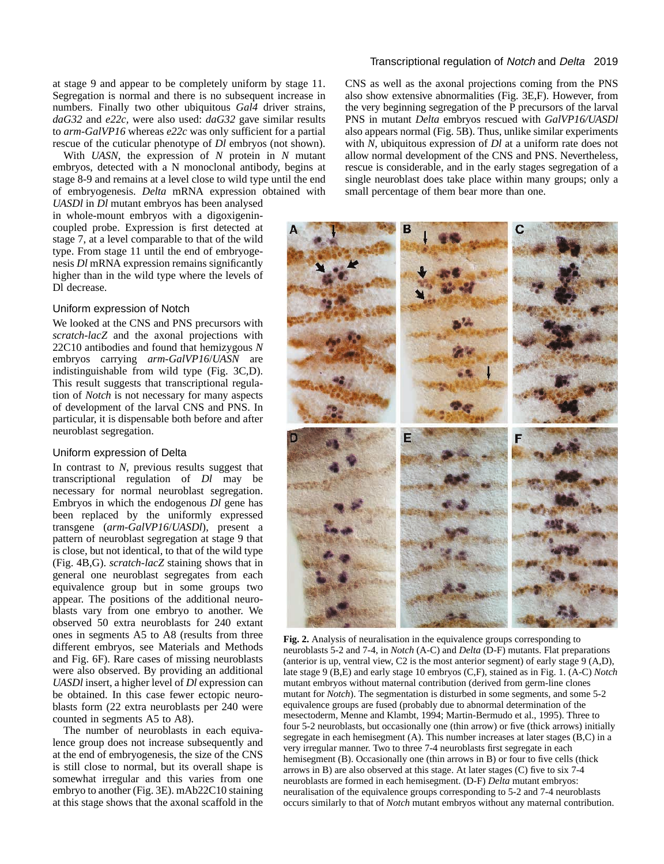at stage 9 and appear to be completely uniform by stage 11. Segregation is normal and there is no subsequent increase in numbers. Finally two other ubiquitous *Gal4* driver strains, *daG32* and *e22c,* were also used: *daG32* gave similar results to *arm-GalVP16* whereas *e22c* was only sufficient for a partial rescue of the cuticular phenotype of *Dl* embryos (not shown).

With *UASN*, the expression of *N* protein in *N* mutant embryos, detected with a N monoclonal antibody, begins at stage 8-9 and remains at a level close to wild type until the end of embryogenesis. *Delta* mRNA expression obtained with *UASDl* in *Dl* mutant embryos has been analysed

in whole-mount embryos with a digoxigenincoupled probe. Expression is first detected at stage 7, at a level comparable to that of the wild type. From stage 11 until the end of embryogenesis *Dl* mRNA expression remains significantly higher than in the wild type where the levels of Dl decrease.

# Uniform expression of Notch

We looked at the CNS and PNS precursors with *scratch-lacZ* and the axonal projections with 22C10 antibodies and found that hemizygous *N* embryos carrying *arm-GalVP16*/*UASN* are indistinguishable from wild type (Fig. 3C,D). This result suggests that transcriptional regulation of *Notch* is not necessary for many aspects of development of the larval CNS and PNS. In particular, it is dispensable both before and after neuroblast segregation.

#### Uniform expression of Delta

In contrast to *N*, previous results suggest that transcriptional regulation of *Dl* may be necessary for normal neuroblast segregation. Embryos in which the endogenous *Dl* gene has been replaced by the uniformly expressed transgene (*arm-GalVP16*/*UASDl*), present a pattern of neuroblast segregation at stage 9 that is close, but not identical, to that of the wild type (Fig. 4B,G). *scratch-lacZ* staining shows that in general one neuroblast segregates from each equivalence group but in some groups two appear. The positions of the additional neuroblasts vary from one embryo to another. We observed 50 extra neuroblasts for 240 extant ones in segments A5 to A8 (results from three different embryos, see Materials and Methods and Fig. 6F). Rare cases of missing neuroblasts were also observed. By providing an additional *UASDl* insert, a higher level of *Dl* expression can be obtained. In this case fewer ectopic neuroblasts form (22 extra neuroblasts per 240 were counted in segments A5 to A8).

The number of neuroblasts in each equivalence group does not increase subsequently and at the end of embryogenesis, the size of the CNS is still close to normal, but its overall shape is somewhat irregular and this varies from one embryo to another (Fig. 3E). mAb22C10 staining at this stage shows that the axonal scaffold in the

## Transcriptional regulation of Notch and Delta 2019

CNS as well as the axonal projections coming from the PNS also show extensive abnormalities (Fig. 3E,F). However, from the very beginning segregation of the P precursors of the larval PNS in mutant *Delta* embryos rescued with *GalVP16/UASDl* also appears normal (Fig. 5B). Thus, unlike similar experiments with *N*, ubiquitous expression of *Dl* at a uniform rate does not allow normal development of the CNS and PNS. Nevertheless, rescue is considerable, and in the early stages segregation of a single neuroblast does take place within many groups; only a small percentage of them bear more than one.



**Fig. 2.** Analysis of neuralisation in the equivalence groups corresponding to neuroblasts 5-2 and 7-4, in *Notch* (A-C) and *Delta* (D-F) mutants. Flat preparations (anterior is up, ventral view, C2 is the most anterior segment) of early stage 9 (A,D), late stage 9 (B,E) and early stage 10 embryos (C,F), stained as in Fig. 1. (A-C) *Notch* mutant embryos without maternal contribution (derived from germ-line clones mutant for *Notch*). The segmentation is disturbed in some segments, and some 5-2 equivalence groups are fused (probably due to abnormal determination of the mesectoderm, Menne and Klambt, 1994; Martin-Bermudo et al., 1995). Three to four 5-2 neuroblasts, but occasionally one (thin arrow) or five (thick arrows) initially segregate in each hemisegment (A). This number increases at later stages (B,C) in a very irregular manner. Two to three 7-4 neuroblasts first segregate in each hemisegment (B). Occasionally one (thin arrows in B) or four to five cells (thick arrows in B) are also observed at this stage. At later stages (C) five to six 7-4 neuroblasts are formed in each hemisegment. (D-F) *Delta* mutant embryos: neuralisation of the equivalence groups corresponding to 5-2 and 7-4 neuroblasts occurs similarly to that of *Notch* mutant embryos without any maternal contribution.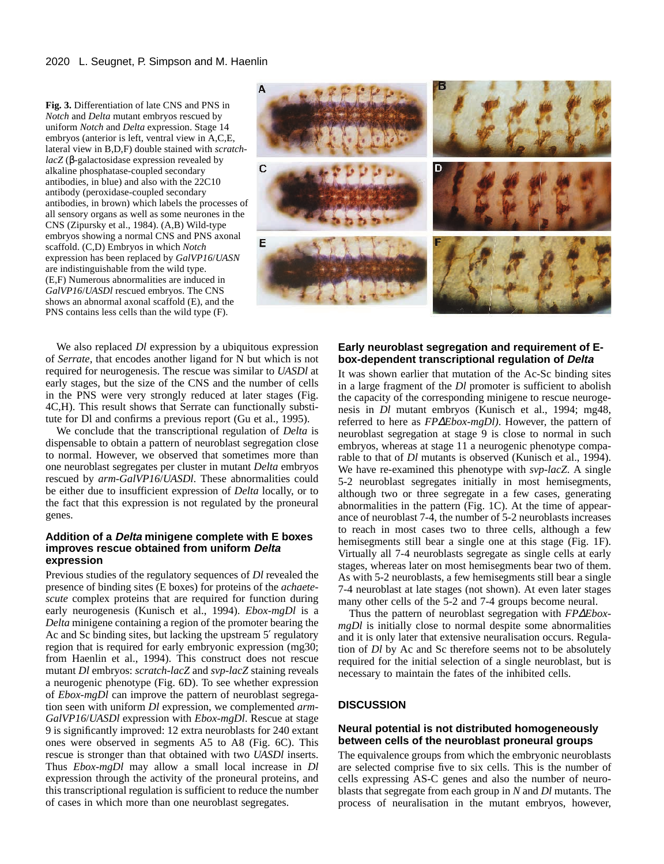**Fig. 3.** Differentiation of late CNS and PNS in *Notch* and *Delta* mutant embryos rescued by uniform *Notch* and *Delta* expression. Stage 14 embryos (anterior is left, ventral view in A,C,E, lateral view in B,D,F) double stained with *scratchlacZ* (β-galactosidase expression revealed by alkaline phosphatase-coupled secondary antibodies, in blue) and also with the 22C10 antibody (peroxidase-coupled secondary antibodies, in brown) which labels the processes of all sensory organs as well as some neurones in the CNS (Zipursky et al., 1984). (A,B) Wild-type embryos showing a normal CNS and PNS axonal scaffold. (C,D) Embryos in which *Notch* expression has been replaced by *GalVP16*/*UASN* are indistinguishable from the wild type. (E,F) Numerous abnormalities are induced in *GalVP16*/*UASDl* rescued embryos. The CNS shows an abnormal axonal scaffold (E), and the PNS contains less cells than the wild type (F).



We also replaced *Dl* expression by a ubiquitous expression of *Serrate*, that encodes another ligand for N but which is not required for neurogenesis. The rescue was similar to *UASDl* at early stages, but the size of the CNS and the number of cells in the PNS were very strongly reduced at later stages (Fig. 4C,H). This result shows that Serrate can functionally substitute for Dl and confirms a previous report (Gu et al., 1995).

We conclude that the transcriptional regulation of *Delta* is dispensable to obtain a pattern of neuroblast segregation close to normal. However, we observed that sometimes more than one neuroblast segregates per cluster in mutant *Delta* embryos rescued by *arm-GalVP16*/*UASDl*. These abnormalities could be either due to insufficient expression of *Delta* locally, or to the fact that this expression is not regulated by the proneural genes.

## **Addition of a Delta minigene complete with E boxes improves rescue obtained from uniform Delta expression**

Previous studies of the regulatory sequences of *Dl* revealed the presence of binding sites (E boxes) for proteins of the *achaetescute* complex proteins that are required for function during early neurogenesis (Kunisch et al., 1994). *Ebox-mgDl* is a *Delta* minigene containing a region of the promoter bearing the Ac and Sc binding sites, but lacking the upstream 5′ regulatory region that is required for early embryonic expression (mg30; from Haenlin et al., 1994). This construct does not rescue mutant *Dl* embryos: *scratch-lacZ* and *svp-lacZ* staining reveals a neurogenic phenotype (Fig. 6D). To see whether expression of *Ebox-mgDl* can improve the pattern of neuroblast segregation seen with uniform *Dl* expression, we complemented *arm-GalVP16*/*UASDl* expression with *Ebox-mgDl*. Rescue at stage 9 is significantly improved: 12 extra neuroblasts for 240 extant ones were observed in segments A5 to A8 (Fig. 6C). This rescue is stronger than that obtained with two *UASDl* inserts. Thus *Ebox-mgDl* may allow a small local increase in *Dl* expression through the activity of the proneural proteins, and this transcriptional regulation is sufficient to reduce the number of cases in which more than one neuroblast segregates.

# **Early neuroblast segregation and requirement of Ebox-dependent transcriptional regulation of Delta**

It was shown earlier that mutation of the Ac-Sc binding sites in a large fragment of the *Dl* promoter is sufficient to abolish the capacity of the corresponding minigene to rescue neurogenesis in *Dl* mutant embryos (Kunisch et al., 1994; mg48, referred to here as *FP*∆*Ebox-mgDl)*. However, the pattern of neuroblast segregation at stage 9 is close to normal in such embryos, whereas at stage 11 a neurogenic phenotype comparable to that of *Dl* mutants is observed (Kunisch et al., 1994). We have re-examined this phenotype with *svp-lacZ*. A single 5-2 neuroblast segregates initially in most hemisegments, although two or three segregate in a few cases, generating abnormalities in the pattern (Fig. 1C). At the time of appearance of neuroblast 7-4, the number of 5-2 neuroblasts increases to reach in most cases two to three cells, although a few hemisegments still bear a single one at this stage (Fig. 1F). Virtually all 7-4 neuroblasts segregate as single cells at early stages, whereas later on most hemisegments bear two of them. As with 5-2 neuroblasts, a few hemisegments still bear a single 7-4 neuroblast at late stages (not shown). At even later stages many other cells of the 5-2 and 7-4 groups become neural.

Thus the pattern of neuroblast segregation with *FP*∆*EboxmgDl* is initially close to normal despite some abnormalities and it is only later that extensive neuralisation occurs. Regulation of *Dl* by Ac and Sc therefore seems not to be absolutely required for the initial selection of a single neuroblast, but is necessary to maintain the fates of the inhibited cells.

# **DISCUSSION**

# **Neural potential is not distributed homogeneously between cells of the neuroblast proneural groups**

The equivalence groups from which the embryonic neuroblasts are selected comprise five to six cells. This is the number of cells expressing AS-C genes and also the number of neuroblasts that segregate from each group in *N* and *Dl* mutants. The process of neuralisation in the mutant embryos, however,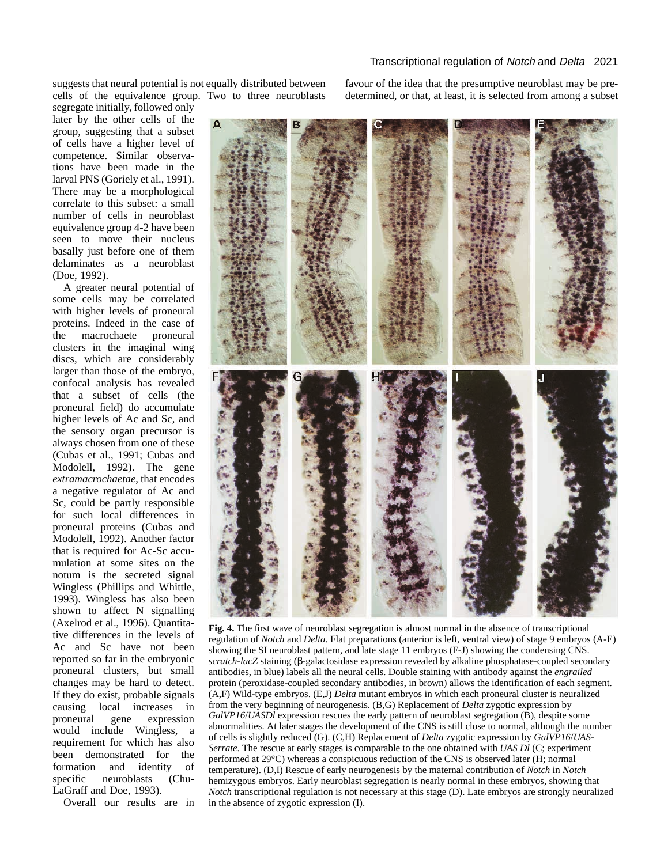suggests that neural potential is not equally distributed between cells of the equivalence group. Two to three neuroblasts

segregate initially, followed only later by the other cells of the group, suggesting that a subset of cells have a higher level of competence. Similar observations have been made in the larval PNS (Goriely et al., 1991). There may be a morphological correlate to this subset: a small number of cells in neuroblast equivalence group 4-2 have been seen to move their nucleus basally just before one of them delaminates as a neuroblast (Doe, 1992).

A greater neural potential of some cells may be correlated with higher levels of proneural proteins. Indeed in the case of the macrochaete proneural clusters in the imaginal wing discs, which are considerably larger than those of the embryo, confocal analysis has revealed that a subset of cells (the proneural field) do accumulate higher levels of Ac and Sc, and the sensory organ precursor is always chosen from one of these (Cubas et al., 1991; Cubas and Modolell, 1992). The gene *extramacrochaetae*, that encodes a negative regulator of Ac and Sc, could be partly responsible for such local differences in proneural proteins (Cubas and Modolell, 1992). Another factor that is required for Ac-Sc accumulation at some sites on the notum is the secreted signal Wingless (Phillips and Whittle, 1993). Wingless has also been shown to affect N signalling (Axelrod et al., 1996). Quantitative differences in the levels of Ac and Sc have not been reported so far in the embryonic proneural clusters, but small changes may be hard to detect. If they do exist, probable signals causing local increases in proneural gene expression would include Wingless, a requirement for which has also been demonstrated for the formation and identity of specific neuroblasts (Chu-LaGraff and Doe, 1993).

Overall our results are in

favour of the idea that the presumptive neuroblast may be predetermined, or that, at least, it is selected from among a subset



**Fig. 4.** The first wave of neuroblast segregation is almost normal in the absence of transcriptional regulation of *Notch* and *Delta*. Flat preparations (anterior is left, ventral view) of stage 9 embryos (A-E) showing the SI neuroblast pattern, and late stage 11 embryos (F-J) showing the condensing CNS. *scratch-lacZ* staining (β-galactosidase expression revealed by alkaline phosphatase-coupled secondary antibodies, in blue) labels all the neural cells. Double staining with antibody against the *engrailed* protein (peroxidase-coupled secondary antibodies, in brown) allows the identification of each segment. (A,F) Wild-type embryos. (E,J) *Delta* mutant embryos in which each proneural cluster is neuralized from the very beginning of neurogenesis. (B,G) Replacement of *Delta* zygotic expression by *GalVP16/UASDl* expression rescues the early pattern of neuroblast segregation (B), despite some abnormalities. At later stages the development of the CNS is still close to normal, although the number of cells is slightly reduced (G). (C,H) Replacement of *Delta* zygotic expression by *GalVP16*/*UAS-Serrate*. The rescue at early stages is comparable to the one obtained with *UAS Dl* (C; experiment performed at 29°C) whereas a conspicuous reduction of the CNS is observed later (H; normal temperature). (D,I) Rescue of early neurogenesis by the maternal contribution of *Notch* in *Notch* hemizygous embryos. Early neuroblast segregation is nearly normal in these embryos, showing that *Notch* transcriptional regulation is not necessary at this stage (D). Late embryos are strongly neuralized in the absence of zygotic expression (I).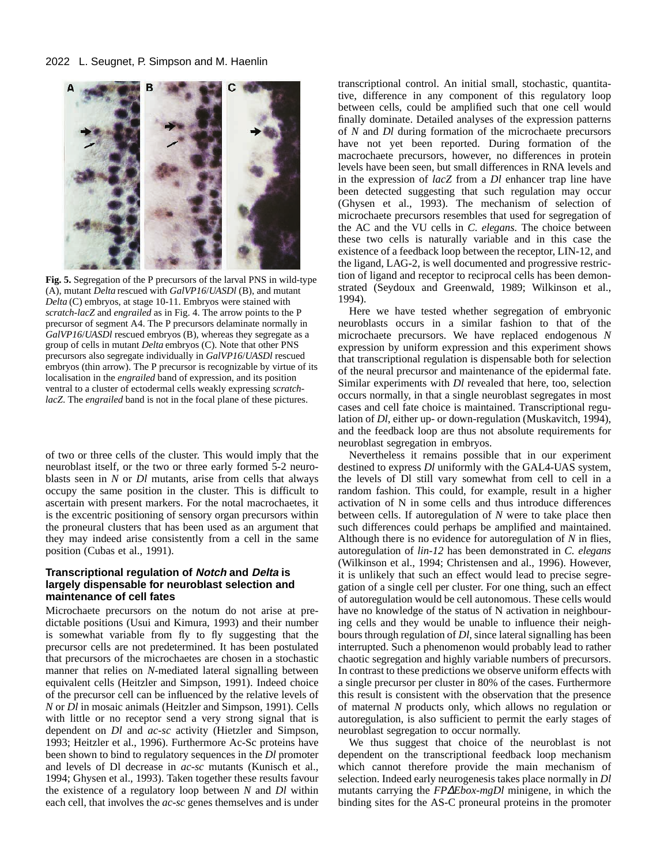

**Fig. 5.** Segregation of the P precursors of the larval PNS in wild-type (A), mutant *Delta* rescued with *GalVP16*/*UASDl* (B), and mutant *Delta* (C) embryos, at stage 10-11. Embryos were stained with *scratch-lacZ* and *engrailed* as in Fig. 4. The arrow points to the P precursor of segment A4. The P precursors delaminate normally in *GalVP16*/*UASDl* rescued embryos (B), whereas they segregate as a group of cells in mutant *Delta* embryos (C). Note that other PNS precursors also segregate individually in *GalVP16*/*UASDl* rescued embryos (thin arrow). The P precursor is recognizable by virtue of its localisation in the *engrailed* band of expression, and its position ventral to a cluster of ectodermal cells weakly expressing *scratchlacZ*. The *engrailed* band is not in the focal plane of these pictures.

of two or three cells of the cluster. This would imply that the neuroblast itself, or the two or three early formed 5-2 neuroblasts seen in *N* or *Dl* mutants, arise from cells that always occupy the same position in the cluster. This is difficult to ascertain with present markers. For the notal macrochaetes, it is the excentric positioning of sensory organ precursors within the proneural clusters that has been used as an argument that they may indeed arise consistently from a cell in the same position (Cubas et al., 1991).

## **Transcriptional regulation of Notch and Delta is largely dispensable for neuroblast selection and maintenance of cell fates**

Microchaete precursors on the notum do not arise at predictable positions (Usui and Kimura, 1993) and their number is somewhat variable from fly to fly suggesting that the precursor cells are not predetermined. It has been postulated that precursors of the microchaetes are chosen in a stochastic manner that relies on *N*-mediated lateral signalling between equivalent cells (Heitzler and Simpson, 1991). Indeed choice of the precursor cell can be influenced by the relative levels of *N* or *Dl* in mosaic animals (Heitzler and Simpson, 1991). Cells with little or no receptor send a very strong signal that is dependent on *Dl* and *ac-sc* activity (Hietzler and Simpson, 1993; Heitzler et al., 1996). Furthermore Ac-Sc proteins have been shown to bind to regulatory sequences in the *Dl* promoter and levels of Dl decrease in *ac-sc* mutants (Kunisch et al., 1994; Ghysen et al., 1993). Taken together these results favour the existence of a regulatory loop between *N* and *Dl* within each cell, that involves the *ac-sc* genes themselves and is under

transcriptional control. An initial small, stochastic, quantitative, difference in any component of this regulatory loop between cells, could be amplified such that one cell would finally dominate. Detailed analyses of the expression patterns of *N* and *Dl* during formation of the microchaete precursors have not yet been reported. During formation of the macrochaete precursors, however, no differences in protein levels have been seen, but small differences in RNA levels and in the expression of *lacZ* from a *Dl* enhancer trap line have been detected suggesting that such regulation may occur (Ghysen et al., 1993). The mechanism of selection of microchaete precursors resembles that used for segregation of the AC and the VU cells in *C. elegans.* The choice between these two cells is naturally variable and in this case the existence of a feedback loop between the receptor, LIN-12, and the ligand, LAG-2, is well documented and progressive restriction of ligand and receptor to reciprocal cells has been demonstrated (Seydoux and Greenwald, 1989; Wilkinson et al., 1994).

Here we have tested whether segregation of embryonic neuroblasts occurs in a similar fashion to that of the microchaete precursors. We have replaced endogenous *N* expression by uniform expression and this experiment shows that transcriptional regulation is dispensable both for selection of the neural precursor and maintenance of the epidermal fate. Similar experiments with *Dl* revealed that here, too, selection occurs normally, in that a single neuroblast segregates in most cases and cell fate choice is maintained. Transcriptional regulation of *Dl*, either up- or down-regulation (Muskavitch, 1994), and the feedback loop are thus not absolute requirements for neuroblast segregation in embryos.

Nevertheless it remains possible that in our experiment destined to express *Dl* uniformly with the GAL4-UAS system, the levels of Dl still vary somewhat from cell to cell in a random fashion. This could, for example, result in a higher activation of N in some cells and thus introduce differences between cells. If autoregulation of *N* were to take place then such differences could perhaps be amplified and maintained. Although there is no evidence for autoregulation of *N* in flies, autoregulation of *lin-12* has been demonstrated in *C. elegans* (Wilkinson et al., 1994; Christensen and al., 1996). However, it is unlikely that such an effect would lead to precise segregation of a single cell per cluster. For one thing, such an effect of autoregulation would be cell autonomous. These cells would have no knowledge of the status of N activation in neighbouring cells and they would be unable to influence their neighbours through regulation of *Dl*, since lateral signalling has been interrupted. Such a phenomenon would probably lead to rather chaotic segregation and highly variable numbers of precursors. In contrast to these predictions we observe uniform effects with a single precursor per cluster in 80% of the cases. Furthermore this result is consistent with the observation that the presence of maternal *N* products only, which allows no regulation or autoregulation, is also sufficient to permit the early stages of neuroblast segregation to occur normally.

We thus suggest that choice of the neuroblast is not dependent on the transcriptional feedback loop mechanism which cannot therefore provide the main mechanism of selection. Indeed early neurogenesis takes place normally in *Dl* mutants carrying the *FP*∆*Ebox-mgDl* minigene, in which the binding sites for the AS-C proneural proteins in the promoter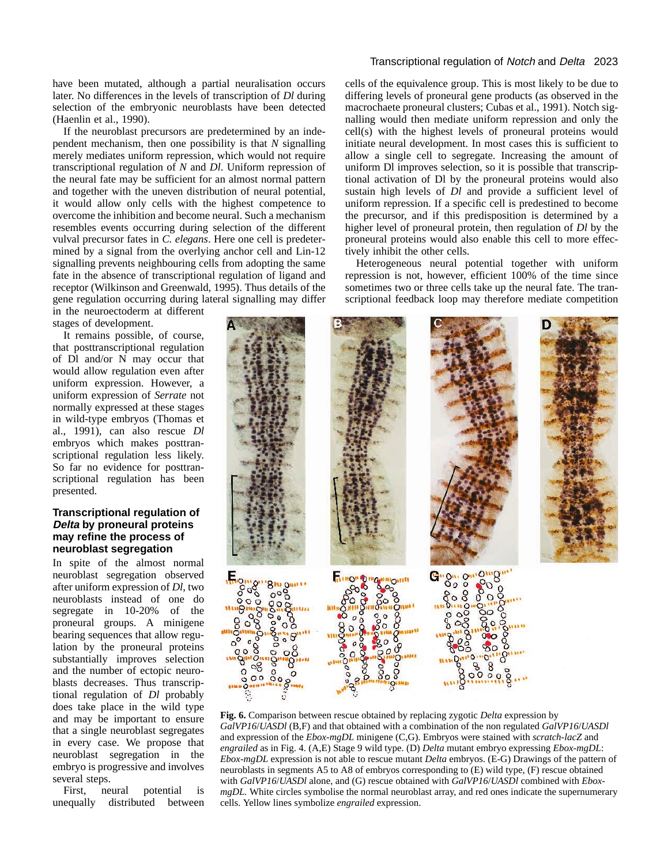Transcriptional regulation of Notch and Delta 2023

have been mutated, although a partial neuralisation occurs later. No differences in the levels of transcription of *Dl* during selection of the embryonic neuroblasts have been detected (Haenlin et al., 1990).

If the neuroblast precursors are predetermined by an independent mechanism, then one possibility is that *N* signalling merely mediates uniform repression, which would not require transcriptional regulation of *N* and *Dl*. Uniform repression of the neural fate may be sufficient for an almost normal pattern and together with the uneven distribution of neural potential, it would allow only cells with the highest competence to overcome the inhibition and become neural. Such a mechanism resembles events occurring during selection of the different vulval precursor fates in *C. elegans*. Here one cell is predetermined by a signal from the overlying anchor cell and Lin-12 signalling prevents neighbouring cells from adopting the same fate in the absence of transcriptional regulation of ligand and receptor (Wilkinson and Greenwald, 1995). Thus details of the gene regulation occurring during lateral signalling may differ

in the neuroectoderm at different stages of development.

It remains possible, of course, that posttranscriptional regulation of Dl and/or N may occur that would allow regulation even after uniform expression. However, a uniform expression of *Serrate* not normally expressed at these stages in wild-type embryos (Thomas et al., 1991), can also rescue *Dl* embryos which makes posttranscriptional regulation less likely. So far no evidence for posttranscriptional regulation has been presented.

## **Transcriptional regulation of Delta by proneural proteins may refine the process of neuroblast segregation**

In spite of the almost normal neuroblast segregation observed after uniform expression of *Dl*, two neuroblasts instead of one do segregate in 10-20% of the proneural groups. A minigene bearing sequences that allow regulation by the proneural proteins substantially improves selection and the number of ectopic neuroblasts decreases. Thus transcriptional regulation of *Dl* probably does take place in the wild type and may be important to ensure that a single neuroblast segregates in every case. We propose that neuroblast segregation in the embryo is progressive and involves several steps.

First, neural potential is unequally distributed between cells of the equivalence group. This is most likely to be due to differing levels of proneural gene products (as observed in the macrochaete proneural clusters; Cubas et al., 1991). Notch signalling would then mediate uniform repression and only the cell(s) with the highest levels of proneural proteins would initiate neural development. In most cases this is sufficient to allow a single cell to segregate. Increasing the amount of uniform Dl improves selection, so it is possible that transcriptional activation of Dl by the proneural proteins would also sustain high levels of *Dl* and provide a sufficient level of uniform repression. If a specific cell is predestined to become the precursor, and if this predisposition is determined by a higher level of proneural protein, then regulation of *Dl* by the proneural proteins would also enable this cell to more effectively inhibit the other cells.

Heterogeneous neural potential together with uniform repression is not, however, efficient 100% of the time since sometimes two or three cells take up the neural fate. The transcriptional feedback loop may therefore mediate competition



**Fig. 6.** Comparison between rescue obtained by replacing zygotic *Delta* expression by *GalVP16*/*UASDl* (B,F) and that obtained with a combination of the non regulated *GalVP16*/*UASDl* and expression of the *Ebox-mgDL* minigene (C,G). Embryos were stained with *scratch-lacZ* and *engrailed* as in Fig. 4. (A,E) Stage 9 wild type. (D) *Delta* mutant embryo expressing *Ebox-mgDL*: *Ebox-mgDL* expression is not able to rescue mutant *Delta* embryos. (E-G) Drawings of the pattern of neuroblasts in segments A5 to A8 of embryos corresponding to (E) wild type, (F) rescue obtained with *GalVP16*/*UASDl* alone, and (G) rescue obtained with *GalVP16*/*UASDl* combined with *EboxmgDL*. White circles symbolise the normal neuroblast array, and red ones indicate the supernumerary cells. Yellow lines symbolize *engrailed* expression.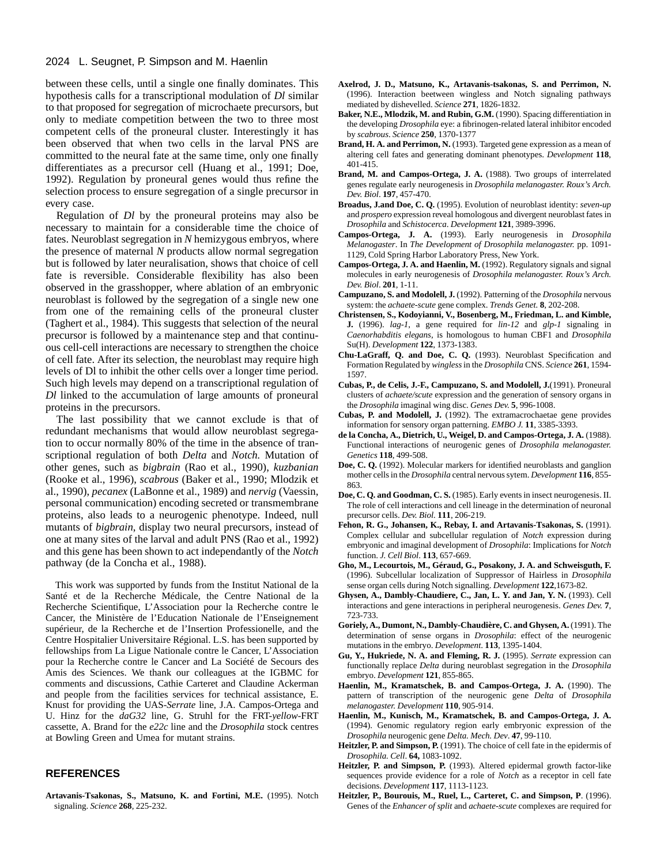#### 2024 L. Seugnet, P. Simpson and M. Haenlin

between these cells, until a single one finally dominates. This hypothesis calls for a transcriptional modulation of *Dl* similar to that proposed for segregation of microchaete precursors, but only to mediate competition between the two to three most competent cells of the proneural cluster. Interestingly it has been observed that when two cells in the larval PNS are committed to the neural fate at the same time, only one finally differentiates as a precursor cell (Huang et al., 1991; Doe, 1992). Regulation by proneural genes would thus refine the selection process to ensure segregation of a single precursor in every case.

Regulation of *Dl* by the proneural proteins may also be necessary to maintain for a considerable time the choice of fates. Neuroblast segregation in *N* hemizygous embryos, where the presence of maternal *N* products allow normal segregation but is followed by later neuralisation, shows that choice of cell fate is reversible. Considerable flexibility has also been observed in the grasshopper, where ablation of an embryonic neuroblast is followed by the segregation of a single new one from one of the remaining cells of the proneural cluster (Taghert et al., 1984). This suggests that selection of the neural precursor is followed by a maintenance step and that continuous cell-cell interactions are necessary to strengthen the choice of cell fate. After its selection, the neuroblast may require high levels of Dl to inhibit the other cells over a longer time period. Such high levels may depend on a transcriptional regulation of *Dl* linked to the accumulation of large amounts of proneural proteins in the precursors.

The last possibility that we cannot exclude is that of redundant mechanisms that would allow neuroblast segregation to occur normally 80% of the time in the absence of transcriptional regulation of both *Delta* and *Notch.* Mutation of other genes, such as *bigbrain* (Rao et al., 1990), *kuzbanian* (Rooke et al., 1996), *scabrous* (Baker et al., 1990; Mlodzik et al., 1990), *pecanex* (LaBonne et al., 1989) and *nervig* (Vaessin, personal communication) encoding secreted or transmembrane proteins, also leads to a neurogenic phenotype. Indeed, null mutants of *bigbrain*, display two neural precursors, instead of one at many sites of the larval and adult PNS (Rao et al., 1992) and this gene has been shown to act independantly of the *Notch* pathway (de la Concha et al., 1988).

This work was supported by funds from the Institut National de la Santé et de la Recherche Médicale, the Centre National de la Recherche Scientifique, L'Association pour la Recherche contre le Cancer, the Ministère de l'Education Nationale de l'Enseignement supérieur, de la Recherche et de l'Insertion Professionelle, and the Centre Hospitalier Universitaire Régional. L.S. has been supported by fellowships from La Ligue Nationale contre le Cancer, L'Association pour la Recherche contre le Cancer and La Société de Secours des Amis des Sciences. We thank our colleagues at the IGBMC for comments and discussions, Cathie Carteret and Claudine Ackerman and people from the facilities services for technical assistance, E. Knust for providing the UAS-*Serrate* line, J.A. Campos-Ortega and U. Hinz for the *daG32* line, G. Struhl for the FRT-*yellow*-FRT cassette, A. Brand for the *e22c* line and the *Drosophila* stock centres at Bowling Green and Umea for mutant strains.

#### **REFERENCES**

**Artavanis-Tsakonas, S., Matsuno, K. and Fortini, M.E.** (1995). Notch signaling. *Science* **268**, 225-232.

- **Axelrod, J. D., Matsuno, K., Artavanis-tsakonas, S. and Perrimon, N.** (1996). Interaction beetween wingless and Notch signaling pathways mediated by dishevelled. *Science* **271**, 1826-1832.
- **Baker, N.E., Mlodzik, M. and Rubin, G.M.** (1990). Spacing differentiation in the developing *Drosophila* eye: a fibrinogen-related lateral inhibitor encoded by *scabrous*. *Science* **250**, 1370-1377
- **Brand, H. A. and Perrimon, N.** (1993). Targeted gene expression as a mean of altering cell fates and generating dominant phenotypes. *Development* **118**, 401-415.
- **Brand, M. and Campos-Ortega, J. A.** (1988). Two groups of interrelated genes regulate early neurogenesis in *Drosophila melanogaster. Roux's Arch. Dev. Biol*. **197**, 457-470.
- **Broadus, J.and Doe, C. Q.** (1995). Evolution of neuroblast identity: *seven-up* and *prospero* expression reveal homologous and divergent neuroblast fates in *Drosophila* and *Schistocerca*. *Development* **121**, 3989-3996.
- **Campos-Ortega, J. A.** (1993). Early neurogenesis in *Drosophila Melanogaster*. In *The Development of Drosophila melanogaster.* pp. 1091- 1129, Cold Spring Harbor Laboratory Press, New York.
- **Campos-Ortega, J. A. and Haenlin, M.** (1992). Regulatory signals and signal molecules in early neurogenesis of *Drosophila melanogaster. Roux's Arch. Dev. Biol*. **201**, 1-11.
- **Campuzano, S. and Modolell, J.** (1992). Patterning of the *Drosophila* nervous system: the *achaete-scute* gene complex. *Trends Genet.* **8**, 202-208.
- **Christensen, S., Kodoyianni, V., Bosenberg, M., Friedman, L. and Kimble, J.** (1996). *lag-1*, a gene required for *lin-12* and *glp-1* signaling in *Caenorhabditis elegans*, is homologous to human CBF1 and *Drosophila* Su(H). *Development* **122**, 1373-1383.
- **Chu-LaGraff, Q. and Doe, C. Q.** (1993). Neuroblast Specification and Formation Regulated by *wingless*in the *Drosophila* CNS. *Science* **261**, 1594- 1597.
- **Cubas, P., de Celis, J.-F., Campuzano, S. and Modolell, J.**(1991). Proneural clusters of *achaete/scute* expression and the generation of sensory organs in the *Drosophila* imaginal wing disc. *Genes Dev.* **5**, 996-1008.
- **Cubas, P. and Modolell, J.** (1992). The extramacrochaetae gene provides information for sensory organ patterning. *EMBO J.* **11**, 3385-3393.
- **de la Concha, A., Dietrich, U., Weigel, D. and Campos-Ortega, J. A.** (1988). Functional interactions of neurogenic genes of *Drosophila melanogaster. Genetics* **118**, 499-508.
- **Doe, C. Q.** (1992). Molecular markers for identified neuroblasts and ganglion mother cells in the *Drosophila* central nervous sytem. *Development* **116**, 855- 863.
- **Doe, C. Q. and Goodman, C. S.** (1985). Early events in insect neurogenesis. II. The role of cell interactions and cell lineage in the determination of neuronal precursor cells. *Dev. Biol.* **111**, 206-219.
- **Fehon, R. G., Johansen, K., Rebay, I. and Artavanis-Tsakonas, S.** (1991). Complex cellular and subcellular regulation of *Notch* expression during embryonic and imaginal development of *Drosophila*: Implications for *Notch* function. *J. Cell Biol*. **113**, 657-669.
- **Gho, M., Lecourtois, M., Géraud, G., Posakony, J. A. and Schweisguth, F.** (1996). Subcellular localization of Suppressor of Hairless in *Drosophila* sense organ cells during Notch signalling. *Development* **122**,1673-82.
- **Ghysen, A., Dambly-Chaudiere, C., Jan, L. Y. and Jan, Y. N.** (1993). Cell interactions and gene interactions in peripheral neurogenesis. *Genes Dev.* **7**, 723-733.
- **Goriely, A., Dumont, N., Dambly-Chaudière, C. and Ghysen, A.** (1991). The determination of sense organs in *Drosophila*: effect of the neurogenic mutations in the embryo. *Development*. **113**, 1395-1404.
- **Gu, Y., Hukriede, N. A. and Fleming, R. J.** (1995). *Serrate* expression can functionally replace *Delta* during neuroblast segregation in the *Drosophila* embryo. *Development* **121**, 855-865.
- Haenlin, M., Kramatschek, B. and Campos-Ortega, J. A. (1990). The pattern of transcription of the neurogenic gene *Delta* of *Drosophila melanogaster. Development* **110**, 905-914.
- **Haenlin, M., Kunisch, M., Kramatschek, B. and Campos-Ortega, J. A.** (1994). Genomic regulatory region early embryonic expression of the *Drosophila* neurogenic gene *Delta. Mech. Dev*. **47**, 99-110.
- **Heitzler, P. and Simpson, P.** (1991). The choice of cell fate in the epidermis of *Drosophila. Cell*. **64,** 1083-1092.
- **Heitzler, P. and Simpson, P.** (1993). Altered epidermal growth factor-like sequences provide evidence for a role of *Notch* as a receptor in cell fate decisions. *Development* **117**, 1113-1123.
- **Heitzler, P., Bourouis, M., Ruel, L., Carteret, C. and Simpson, P**. (1996). Genes of the *Enhancer of split* and *achaete-scute* complexes are required for